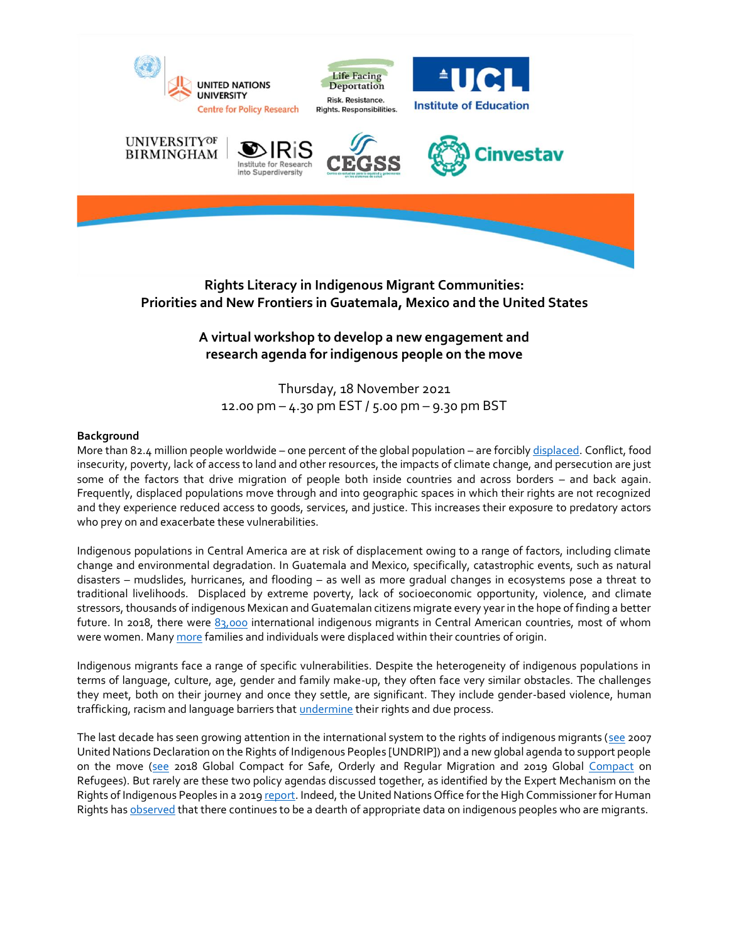

**Rights Literacy in Indigenous Migrant Communities: Priorities and New Frontiers in Guatemala, Mexico and the United States**

# **A virtual workshop to develop a new engagement and research agenda for indigenous people on the move**

Thursday, 18 November 2021 12.00 pm – 4.30 pm EST / 5.00 pm – 9.30 pm BST

## **Background**

More than 82.4 million people worldwide – one percent of the global population – are forcibly [displaced.](https://www.unhcr.org/flagship-reports/globaltrends/) Conflict, food insecurity, poverty, lack of access to land and other resources, the impacts of climate change, and persecution are just some of the factors that drive migration of people both inside countries and across borders – and back again. Frequently, displaced populations move through and into geographic spaces in which their rights are not recognized and they experience reduced access to goods, services, and justice. This increases their exposure to predatory actors who prey on and exacerbate these vulnerabilities.

Indigenous populations in Central America are at risk of displacement owing to a range of factors, including climate change and environmental degradation. In Guatemala and Mexico, specifically, catastrophic events, such as natural disasters – mudslides, hurricanes, and flooding – as well as more gradual changes in ecosystems pose a threat to traditional livelihoods. Displaced by extreme poverty, lack of socioeconomic opportunity, violence, and climate stressors, thousands of indigenous Mexican and Guatemalan citizens migrate every year in the hope of finding a better future. In 2018, there were  $83,000$  international indigenous migrants in Central American countries, most of whom were women. Man[y more](https://rosanjose.iom.int/site/en/blog/5-key-aspects-migration-indigenous-peoples) families and individuals were displaced within their countries of origin.

Indigenous migrants face a range of specific vulnerabilities. Despite the heterogeneity of indigenous populations in terms of language, culture, age, gender and family make-up, they often face very similar obstacles. The challenges they meet, both on their journey and once they settle, are significant. They include gender-based violence, human trafficking, racism and language barriers that *undermine* their rights and due process.

The last decade has seen growing attention in the international system to the rights of indigenous migrants [\(see](https://www.un.org/development/desa/indigenouspeoples/declaration-on-the-rights-of-indigenous-peoples.html) 2007 United Nations Declaration on the Rights of Indigenous Peoples [UNDRIP]) and a new global agenda to support people on the move [\(see](https://www.ohchr.org/EN/Issues/Migration/Pages/GlobalcompactforMigration.aspx) 2018 Global Compact for Safe, Orderly and Regular Migration and 2019 Global [Compact](https://www.unhcr.org/gcr/GCR_English.pdf) on Refugees). But rarely are these two policy agendas discussed together, as identified by the Expert Mechanism on the Rights of Indigenous Peoples in a 201[9 report.](https://www.ohchr.org/EN/Issues/IPeoples/EMRIP/Pages/BordersMigrationDisplacement.aspx) Indeed, the United Nations Office for the High Commissioner for Human Rights ha[s observed](https://www.ohchr.org/EN/NewsEvents/Pages/DisplayNews.aspx?NewsID=23429&LangID=E) that there continues to be a dearth of appropriate data on indigenous peoples who are migrants.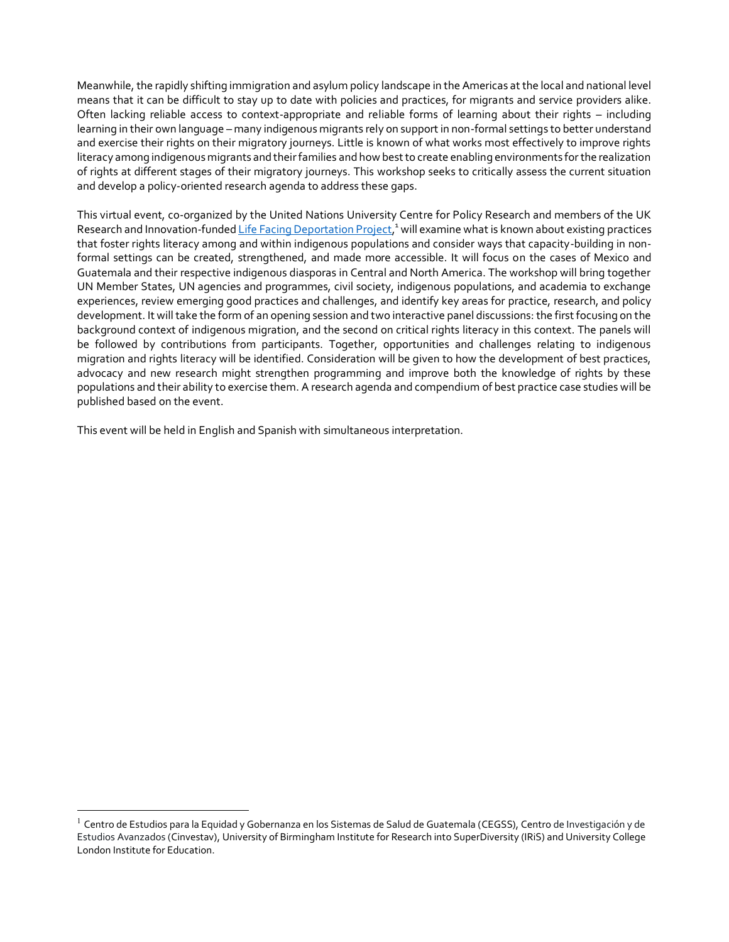Meanwhile, the rapidly shifting immigration and asylum policy landscape in the Americas at the local and national level means that it can be difficult to stay up to date with policies and practices, for migrants and service providers alike. Often lacking reliable access to context-appropriate and reliable forms of learning about their rights – including learning in their own language – many indigenous migrants rely on support in non-formal settings to better understand and exercise their rights on their migratory journeys. Little is known of what works most effectively to improve rights literacy among indigenous migrants and their families and how best to create enabling environments for the realization of rights at different stages of their migratory journeys. This workshop seeks to critically assess the current situation and develop a policy-oriented research agenda to address these gaps.

This virtual event, co-organized by the United Nations University Centre for Policy Research and members of the UK Research and Innovation-funde[d Life Facing Deportation Project,](https://www.deporting-lives.co.uk/overview)<sup>1</sup> will examine what is known about existing practices that foster rights literacy among and within indigenous populations and consider ways that capacity-building in nonformal settings can be created, strengthened, and made more accessible. It will focus on the cases of Mexico and Guatemala and their respective indigenous diasporas in Central and North America. The workshop will bring together UN Member States, UN agencies and programmes, civil society, indigenous populations, and academia to exchange experiences, review emerging good practices and challenges, and identify key areas for practice, research, and policy development. It will take the form of an opening session and two interactive panel discussions: the first focusing on the background context of indigenous migration, and the second on critical rights literacy in this context. The panels will be followed by contributions from participants. Together, opportunities and challenges relating to indigenous migration and rights literacy will be identified. Consideration will be given to how the development of best practices, advocacy and new research might strengthen programming and improve both the knowledge of rights by these populations and their ability to exercise them. A research agenda and compendium of best practice case studies will be published based on the event.

This event will be held in English and Spanish with simultaneous interpretation.

<sup>&</sup>lt;sup>1</sup> Centro de Estudios para la Equidad y Gobernanza en los Sistemas de Salud de Guatemala (CEGSS), Centro de Investigación y de Estudios Avanzados (Cinvestav), University of Birmingham Institute for Research into SuperDiversity (IRiS) and University College London Institute for Education.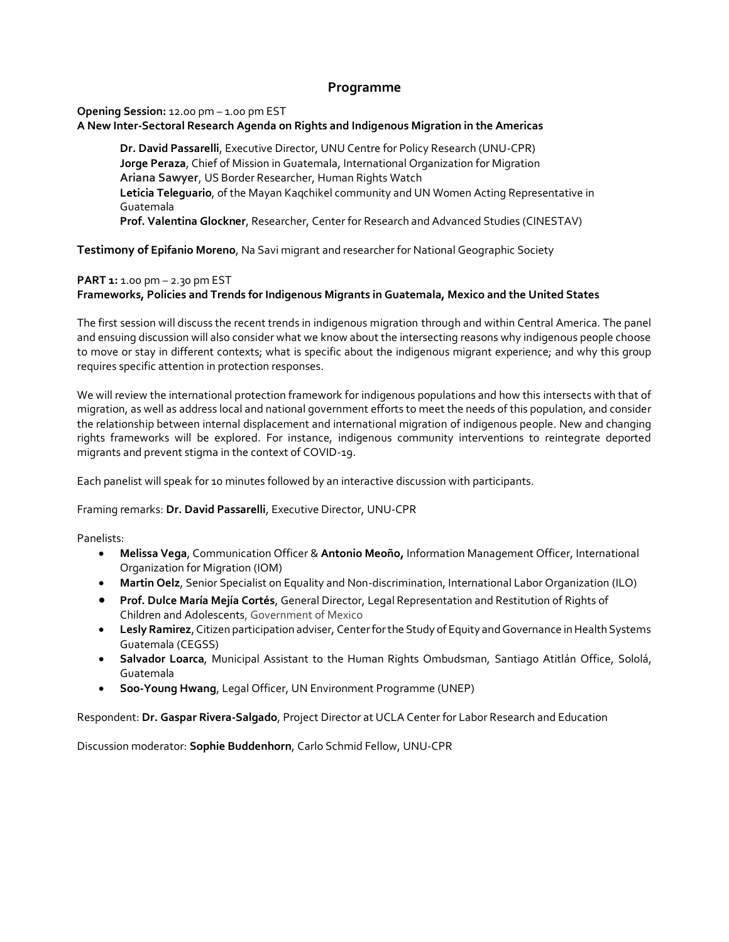# **Programme**

#### **Opening Session:** 12.00 pm – 1.00 pm EST **A New Inter-Sectoral Research Agenda on Rights and Indigenous Migration in the Americas**

**Dr. David Passarelli**, Executive Director, UNU Centre for Policy Research (UNU-CPR) **Jorge Peraza**, Chief of Mission in Guatemala, International Organization for Migration **Ariana Sawyer**, US Border Researcher, Human Rights Watch **Leticia Teleguario**, of the Mayan Kaqchikel community and UN Women Acting Representative in Guatemala **Prof. Valentina Glockner**, Researcher, Center for Research and Advanced Studies (CINESTAV)

**Testimony of Epifanio Moreno**, Na Savi migrant and researcher for National Geographic Society

#### **PART 1:** 1.00 pm – 2.30 pm EST

# **Frameworks, Policies and Trends for Indigenous Migrants in Guatemala, Mexico and the United States**

The first session will discuss the recent trends in indigenous migration through and within Central America. The panel and ensuing discussion will also consider what we know about the intersecting reasons why indigenous people choose to move or stay in different contexts; what is specific about the indigenous migrant experience; and why this group requires specific attention in protection responses.

We will review the international protection framework for indigenous populations and how this intersects with that of migration, as well as address local and national government efforts to meet the needs of this population, and consider the relationship between internal displacement and international migration of indigenous people. New and changing rights frameworks will be explored. For instance, indigenous community interventions to reintegrate deported migrants and prevent stigma in the context of COVID-19.

Each panelist will speak for 10 minutes followed by an interactive discussion with participants.

Framing remarks: **Dr. David Passarelli**, Executive Director, UNU-CPR

Panelists:

- **Melissa Vega**, Communication Officer & **Antonio Meoño,** Information Management Officer, International Organization for Migration (IOM)
- **Martin Oelz**, Senior Specialist on Equality and Non-discrimination, International Labor Organization (ILO)
- **Prof. Dulce María Mejía Cortés**, General Director, Legal Representation and Restitution of Rights of Children and Adolescents, Government of Mexico
- **Lesly Ramirez**, Citizen participation adviser, Center for the Study of Equity and Governance in Health Systems Guatemala (CEGSS)
- **Salvador Loarca**, Municipal Assistant to the Human Rights Ombudsman, Santiago Atitlán Office, Sololá, Guatemala
- **Soo-Young Hwang**, Legal Officer, UN Environment Programme (UNEP)

Respondent: **Dr. Gaspar Rivera-Salgado**, Project Director at UCLA Center for Labor Research and Education

Discussion moderator: **Sophie Buddenhorn**, Carlo Schmid Fellow, UNU-CPR